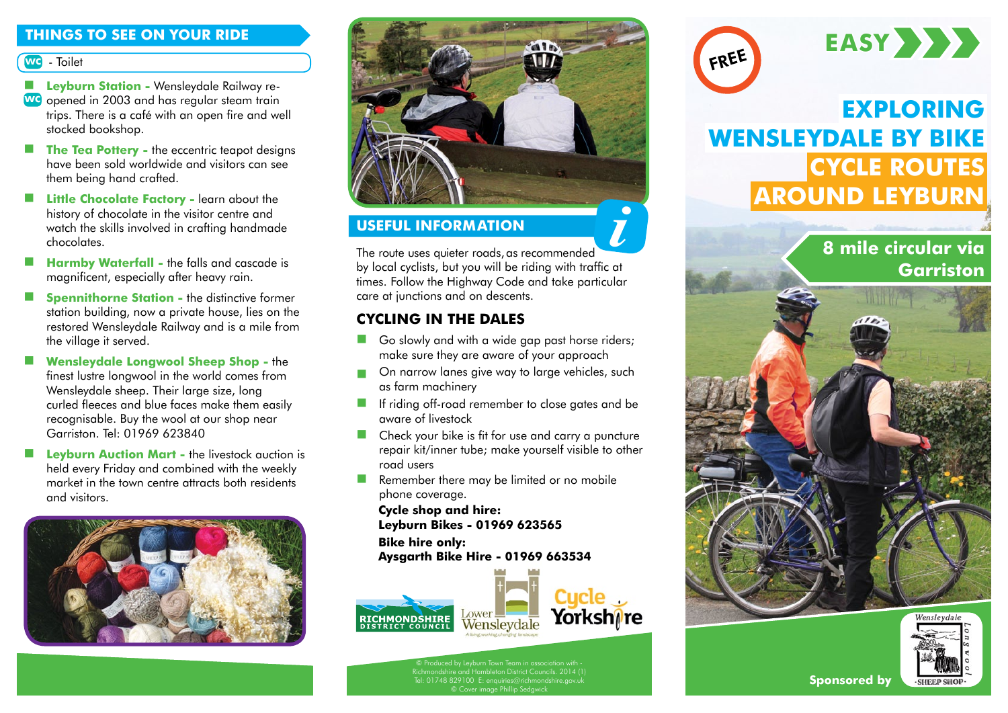### **THINGS TO SEE ON YOUR RIDE**

# WG - Toilet

- **Leyburn Station -** Wensleydale Railway re-We opened in 2003 and has regular steam train trips. There is a café with an open fire and well stocked bookshop.
- **The Tea Pottery -** the eccentric teapot designs have been sold worldwide and visitors can see them being hand crafted.
- **Little Chocolate Factory -** learn about the history of chocolate in the visitor centre and watch the skills involved in crafting handmade chocolates.
- **Harmby Waterfall the falls and cascade is** magnificent, especially after heavy rain.
- **Spennithorne Station the distinctive former** station building, now a private house, lies on the restored Wensleydale Railway and is a mile from the village it served.
- **Wensleydale Longwool Sheep Shop -** the finest lustre longwool in the world comes from Wensleydale sheep. Their large size, long curled fleeces and blue faces make them easily recognisable. Buy the wool at our shop near Garriston. Tel: 01969 623840
- **Leyburn Auction Mart the livestock auction is** held every Friday and combined with the weekly market in the town centre attracts both residents and visitors.





## **USEFUL INFORMATION**

The route uses quieter roads, as recommended by local cyclists, but you will be riding with traffic at times. Follow the Highway Code and take particular care at junctions and on descents.

### **CYCLING IN THE DALES**

- Go slowly and with a wide gap past horse riders; make sure they are aware of your approach
- On narrow lanes give way to large vehicles, such as farm machinery
- If riding off-road remember to close gates and be aware of livestock
- Check your bike is fit for use and carry a puncture repair kit/inner tube; make yourself visible to other road users
- Remember there may be limited or no mobile phone coverage.

**Cycle shop and hire: Leyburn Bikes - 01969 623565**

**Bike hire only:** 

**Aysgarth Bik[e Hire - 01969](http://www.lower-wensleydale.com/) 663534**









# **EXPLORING WENSLEYDALE BY BIKE CYCLE ROUTES AROUND LEYBURN**

# **8 mile circular via Garriston**





**Sponsored by**